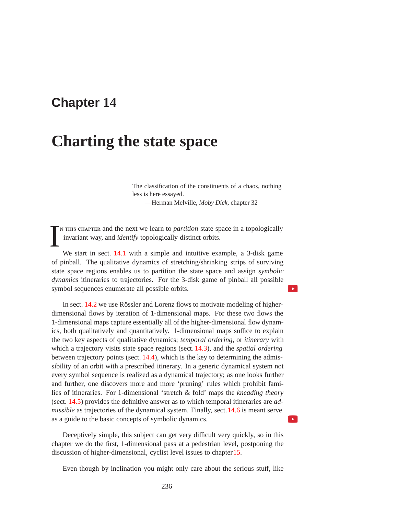# **Chapter 14**

# **Charting the state space**

The classification of the constituents of a chaos, nothing less is here essayed.

×

 $\blacktriangleright$ 

—Herman Melville, *Moby Dick*, chapter 32

I n this chapter and the next we learn to *partition* state space in a topologically invariant way, and *identify* topologically distinct orbits.

We start in sect. 14.1 with a simple and intuitive example, a 3-disk game of pinball. The qualitative dynamics of stretching/shrinking strips of surviving state space regions enables us to partition the state space and assign *symbolic dynamics* itineraries to trajectories. For the 3-disk game of pinball all possible symbol sequences enumerate all possible orbits.

In sect.  $14.2$  we use Rössler and Lorenz flows to motivate modeling of higherdimensional flows by iteration of 1-dimensional maps. For these two flows the 1-dimensional maps capture essentially all of the higher-dimensional flow dynamics, both qualitatively and quantitatively. 1-dimensional maps suffice to explain the two key aspects of qualitative dynamics; *temporal ordering*, or *itinerary* with which a trajectory visits state space regions (sect. 14.3), and the *spatial ordering* between trajectory points (sect. 14.4), which is the key to determining the admissibility of an orbit with a prescribed itinerary. In a generic dynamical system not every symbol sequence is realized as a dynamical trajectory; as one looks further and further, one discovers more and more 'pruning' rules which prohibit families of itineraries. For 1-dimensional 'stretch & fold' maps the *kneading theory* (sect. 14.5) provides the definitive answer as to which temporal itineraries are *admissible* as trajectories of the dynamical system. Finally, sect.14.6 is meant serve as a guide to the basic concepts of symbolic dynamics.

Deceptively simple, this subject can get very difficult very quickly, so in this chapter we do the first, 1-dimensional pass at a pedestrian level, postponing the discussion of higher-dimensional, cyclist level issues to chapter 15.

Even though by inclination you might only care about the serious stuff, like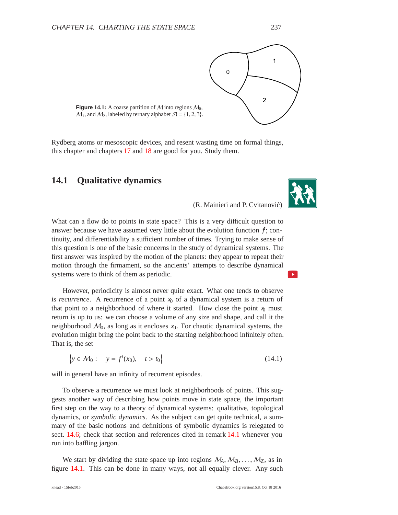

**Figure 14.1:** A coarse partition of  $M$  into regions  $M_0$ ,  $M_1$ , and  $M_2$ , labeled by ternary alphabet  $\mathcal{A} = \{1, 2, 3\}.$ 

Rydberg atoms or mesoscopic devices, and resent wasting time on formal things, this chapter and chapters 17 and 18 are good for you. Study them.

#### **14.1 Qualitative dynamics**



 $\sim$ 

(R. Mainieri and P. Cvitanović)

What can a flow do to points in state space? This is a very difficult question to answer because we have assumed very little about the evolution function  $f$ ; continuity, and differentiability a sufficient number of times. Trying to make sense of this question is one of the basic concerns in the study of dynamical systems. The first answer was inspired by the motion of the planets: they appear to repeat their motion through the firmament, so the ancients' attempts to describe dynamical systems were to think of them as periodic.

However, periodicity is almost never quite exact. What one tends to observe is *recurrence*. A recurrence of a point  $x<sub>0</sub>$  of a dynamical system is a return of that point to a neighborhood of where it started. How close the point  $x_0$  must return is up to us: we can choose a volume of any size and shape, and call it the neighborhood  $M_0$ , as long as it encloses  $x_0$ . For chaotic dynamical systems, the evolution might bring the point back to the starting neighborhood infinitely often. That is, the set

$$
\{y \in \mathcal{M}_0: \quad y = f^t(x_0), \quad t > t_0\}
$$
\n(14.1)

will in general have an infinity of recurrent episodes.

To observe a recurrence we must look at neighborhoods of points. This suggests another way of describing how points move in state space, the important first step on the way to a theory of dynamical systems: qualitative, topological dynamics, or *symbolic dynamics*. As the subject can get quite technical, a summary of the basic notions and definitions of symbolic dynamics is relegated to sect. 14.6; check that section and references cited in remark 14.1 whenever you run into baffling jargon.

We start by dividing the state space up into regions  $M_A, M_B, \ldots, M_Z$ , as in figure 14.1. This can be done in many ways, not all equally clever. Any such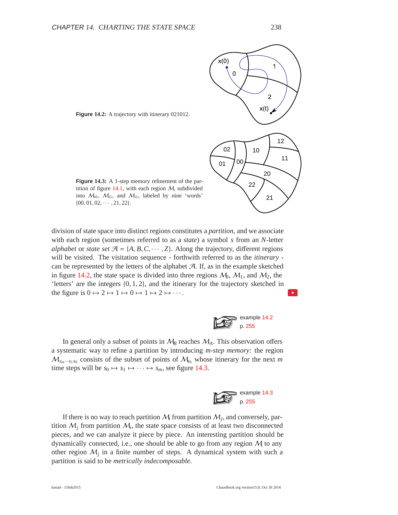

**Figure 14.3:** A 1-step memory refinement of the partition of figure 14.1, with each region  $M_i$  subdivided into  $M_{i0}$ ,  $M_{i1}$ , and  $M_{i2}$ , labeled by nine 'words'  $\{00, 01, 02, \cdots, 21, 22\}.$ 

division of state space into distinct regions constitutes a *partition*, and we associate with each region (sometimes referred to as a *state*) a symbol *s* from an *N*-letter *alphabet* or *state set*  $A = \{A, B, C, \dots, Z\}$ . Along the trajectory, different regions will be visited. The visitation sequence - forthwith referred to as the *itinerary* can be represented by the letters of the alphabet  $A$ . If, as in the example sketched in figure 14.2, the state space is divided into three regions  $M_0$ ,  $M_1$ , and  $M_2$ , the 'letters' are the integers {0, 1, 2}, and the itinerary for the trajectory sketched in the figure is  $0 \mapsto 2 \mapsto 1 \mapsto 0 \mapsto 1 \mapsto 2 \mapsto \cdots$ .



ь

In general only a subset of points in  $M_B$  reaches  $M_A$ . This observation offers a systematic way to refine a partition by introducing *m-step memory*: the region  $M_{s_m\cdots s_1 s_0}$  consists of the subset of points of  $M_{s_0}$  whose itinerary for the next *m* time steps will be  $s_0 \mapsto s_1 \mapsto \cdots \mapsto s_m$ , see figure 14.3.



If there is no way to reach partition  $M_i$  from partition  $M_i$ , and conversely, partition  $M_i$  from partition  $M_i$ , the state space consists of at least two disconnected pieces, and we can analyze it piece by piece. An interesting partition should be dynamically connected, i.e., one should be able to go from any region M*<sup>i</sup>* to any other region  $M_i$  in a finite number of steps. A dynamical system with such a partition is said to be *metrically indecomposable*.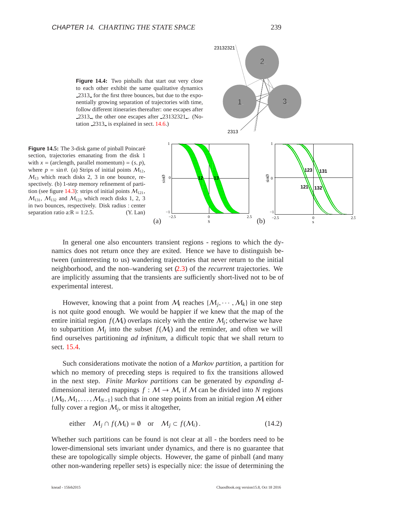3







1

23132321

In general one also encounters transient regions - regions to which the dynamics does not return once they are exited. Hence we have to distinguish between (uninteresting to us) wandering trajectories that never return to the initial neighborhood, and the non–wandering set (2.3) of the *recurrent* trajectories. We are implicitly assuming that the transients are sufficiently short-lived not to be of experimental interest.

However, knowing that a point from  $M_i$  reaches  $\{M_i, \dots, M_k\}$  in one step is not quite good enough. We would be happier if we knew that the map of the entire initial region  $f(\mathcal{N}_i)$  overlaps nicely with the entire  $\mathcal{M}_i$ ; otherwise we have to subpartition  $M_i$  into the subset  $f(M_i)$  and the reminder, and often we will find ourselves partitioning *ad infinitum*, a difficult topic that we shall return to sect. 15.4.

Such considerations motivate the notion of a *Markov partition*, a partition for which no memory of preceding steps is required to fix the transitions allowed in the next step. *Finite Markov partitions* can be generated by *expanding d*dimensional iterated mappings  $f : \mathcal{M} \to \mathcal{M}$ , if  $\mathcal M$  can be divided into  $N$  regions {M0,M1,...,M*N*−1} such that in one step points from an initial region M*<sup>i</sup>* either fully cover a region  $M_i$ , or miss it altogether,

either 
$$
M_j \cap f(M_i) = \emptyset
$$
 or  $M_j \subset f(M_i)$ . (14.2)

Whether such partitions can be found is not clear at all - the borders need to be lower-dimensional sets invariant under dynamics, and there is no guarantee that these are topologically simple objects. However, the game of pinball (and many other non-wandering repeller sets) is especially nice: the issue of determining the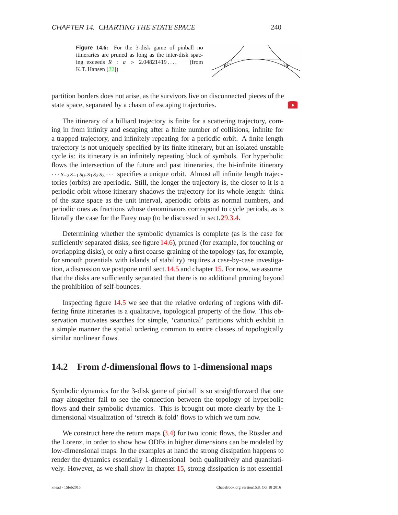$\mathbf{p}$ 

**Figure 14.6:** For the 3-disk game of pinball no itineraries are pruned as long as the inter-disk spacing exceeds *R* : *a* > 2.04821419 ... . (from K.T. Hansen [22])



partition borders does not arise, as the survivors live on disconnected pieces of the state space, separated by a chasm of escaping trajectories.

The itinerary of a billiard trajectory is finite for a scattering trajectory, coming in from infinity and escaping after a finite number of collisions, infinite for a trapped trajectory, and infinitely repeating for a periodic orbit. A finite length trajectory is not uniquely specified by its finite itinerary, but an isolated unstable cycle is: its itinerary is an infinitely repeating block of symbols. For hyperbolic flows the intersection of the future and past itineraries, the bi-infinite itinerary ··· *s*−<sup>2</sup> *s*−<sup>1</sup> *s*0.*s*<sup>1</sup> *s*<sup>2</sup> *s*<sup>3</sup> ··· specifies a unique orbit. Almost all infinite length trajectories (orbits) are aperiodic. Still, the longer the trajectory is, the closer to it is a periodic orbit whose itinerary shadows the trajectory for its whole length: think of the state space as the unit interval, aperiodic orbits as normal numbers, and periodic ones as fractions whose denominators correspond to cycle periods, as is literally the case for the Farey map (to be discussed in sect.29.3.4.

Determining whether the symbolic dynamics is complete (as is the case for sufficiently separated disks, see figure 14.6), pruned (for example, for touching or overlapping disks), or only a first coarse-graining of the topology (as, for example, for smooth potentials with islands of stability) requires a case-by-case investigation, a discussion we postpone until sect.14.5 and chapter 15. For now, we assume that the disks are sufficiently separated that there is no additional pruning beyond the prohibition of self-bounces.

Inspecting figure 14.5 we see that the relative ordering of regions with differing finite itineraries is a qualitative, topological property of the flow. This observation motivates searches for simple, 'canonical' partitions which exhibit in a simple manner the spatial ordering common to entire classes of topologically similar nonlinear flows.

#### **14.2 From** *d***-dimensional flows to** 1**-dimensional maps**

Symbolic dynamics for the 3-disk game of pinball is so straightforward that one may altogether fail to see the connection between the topology of hyperbolic flows and their symbolic dynamics. This is brought out more clearly by the 1 dimensional visualization of 'stretch & fold' flows to which we turn now.

We construct here the return maps  $(3.4)$  for two iconic flows, the Rössler and the Lorenz, in order to show how ODEs in higher dimensions can be modeled by low-dimensional maps. In the examples at hand the strong dissipation happens to render the dynamics essentially 1-dimensional both qualitatively and quantitatively. However, as we shall show in chapter 15, strong dissipation is not essential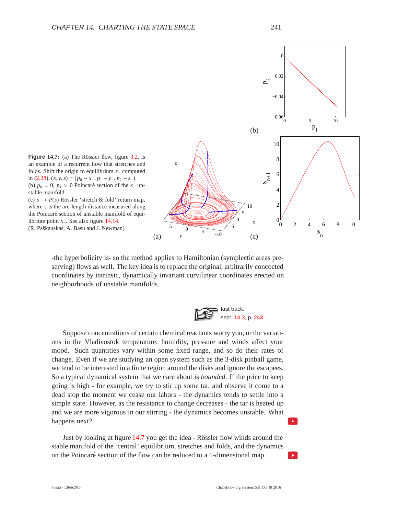

-the hyperbolicity is- so the method applies to Hamiltonian (symplectic areas preserving) flows as well. The key idea is to replace the original, arbitrarily concocted coordinates by intrinsic, dynamically invariant curvilinear coordinates erected on neighborhoods of unstable manifolds.



Suppose concentrations of certain chemical reactants worry you, or the variations in the Vladivostok temperature, humidity, pressure and winds affect your mood. Such quantities vary within some fixed range, and so do their rates of change. Even if we are studying an open system such as the 3-disk pinball game, we tend to be interested in a finite region around the disks and ignore the escapees. So a typical dynamical system that we care about is *bounded*. If the price to keep going is high - for example, we try to stir up some tar, and observe it come to a dead stop the moment we cease our labors - the dynamics tends to settle into a simple state. However, as the resistance to change decreases - the tar is heated up and we are more vigorous in our stirring - the dynamics becomes unstable. What happens next?

Just by looking at figure 14.7 you get the idea - Rössler flow winds around the stable manifold of the 'central' equilibrium, stretches and folds, and the dynamics on the Poincar´e section of the flow can be reduced to a 1-dimensional map.

 $\blacktriangleright$ 

 $\sim$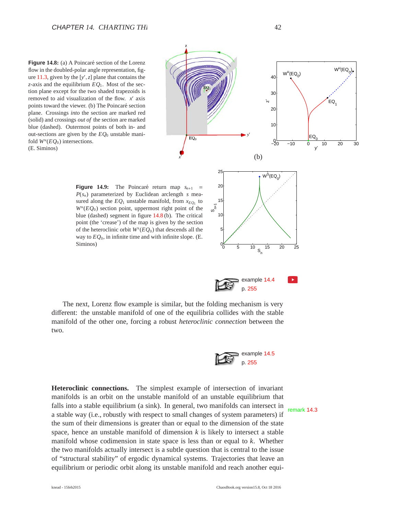**Figure 14.8:** (a) A Poincaré section of the Lorenz flow in the doubled-polar angle representation, figure  $11.3$ , given by the [ $y'$ ,  $z$ ] plane that contains the *z*-axis and the equilibrium *EQ*1. Most of the section plane except for the two shaded trapezoids is removed to aid visualization of the flow. *x* axis points toward the viewer. (b) The Poincaré section plane. Crossings *into* the section are marked red (solid) and crossings *out of* the section are marked blue (dashed). Outermost points of both in- and out-sections are given by the  $EQ<sub>0</sub>$  unstable manifold  $W^u(EQ_0)$  intersections. (E. Siminos)



**Figure** 14.9: The Poincaré return map  $s_{n+1}$  =  $P(s_n)$  parameterized by Euclidean arclength *s* measured along the  $EQ_1$  unstable manifold, from  $x_{EQ_1}$  to  $W^u(EQ_0)$  section point, uppermost right point of the blue (dashed) segment in figure 14.8 (b). The critical point (the 'crease') of the map is given by the section of the heteroclinic orbit *W<sup>s</sup>* (*EQ*0) that descends all the way to  $EQ_0$ , in infinite time and with infinite slope. (E. Siminos)  $0 \times 10^{-1} + 10 \times 10^{-1} + 10 \times 10^{-1} + 10 \times 10^{-1} + 10 \times 10^{-1} + 10 \times 10^{-1} + 10 \times 10^{-1} + 10 \times 10^{-1} + 10 \times 10^{-1} + 10 \times 10^{-1} + 10 \times 10^{-1} + 10 \times 10^{-1} + 10 \times 10^{-1} + 10 \times 10^{-1} + 10 \times 10^{-1} + 10 \times 10^{-1} + 10 \times 10^{-1} + 10 \times 10^{-$ 





The next, Lorenz flow example is similar, but the folding mechanism is very different: the unstable manifold of one of the equilibria collides with the stable manifold of the other one, forcing a robust *heteroclinic connection* between the two.



**Heteroclinic connections.** The simplest example of intersection of invariant manifolds is an orbit on the unstable manifold of an unstable equilibrium that falls into a stable equilibrium (a sink). In general, two manifolds can intersect in remark 14.3 a stable way (i.e., robustly with respect to small changes of system parameters) if the sum of their dimensions is greater than or equal to the dimension of the state space, hence an unstable manifold of dimension  $k$  is likely to intersect a stable manifold whose codimension in state space is less than or equal to *k*. Whether the two manifolds actually intersect is a subtle question that is central to the issue of "structural stability" of ergodic dynamical systems. Trajectories that leave an equilibrium or periodic orbit along its unstable manifold and reach another equi-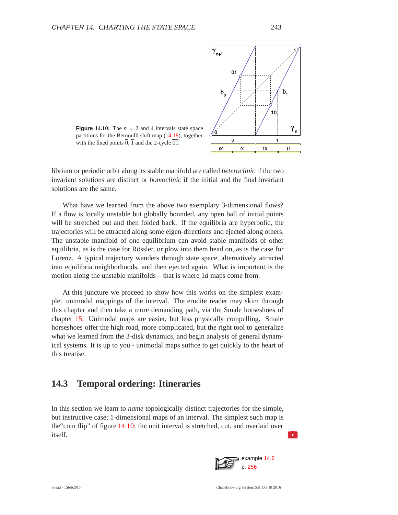

**Figure 14.10:** The  $n = 2$  and 4 intervals state space partitions for the Bernoulli shift map (14.18), together with the fixed points  $\overline{0}$ ,  $\overline{1}$  and the 2-cycle  $\overline{01}$ .

librium or periodic orbit along its stable manifold are called *heteroclinic* if the two invariant solutions are distinct or *homoclinic* if the initial and the final invariant solutions are the same.

What have we learned from the above two exemplary 3-dimensional flows? If a flow is locally unstable but globally bounded, any open ball of initial points will be stretched out and then folded back. If the equilibria are hyperbolic, the trajectories will be attracted along some eigen-directions and ejected along others. The unstable manifold of one equilibrium can avoid stable manifolds of other equilibria, as is the case for Rössler, or plow into them head on, as is the case for Lorenz. A typical trajectory wanders through state space, alternatively attracted into equilibria neighborhoods, and then ejected again. What is important is the motion along the unstable manifolds – that is where 1*d* maps come from.

At this juncture we proceed to show how this works on the simplest example: unimodal mappings of the interval. The erudite reader may skim through this chapter and then take a more demanding path, via the Smale horseshoes of chapter 15. Unimodal maps are easier, but less physically compelling. Smale horseshoes offer the high road, more complicated, but the right tool to generalize what we learned from the 3-disk dynamics, and begin analysis of general dynamical systems. It is up to you - unimodal maps suffice to get quickly to the heart of this treatise.

# **14.3 Temporal ordering: Itineraries**

In this section we learn to *name* topologically distinct trajectories for the simple, but instructive case; 1-dimensional maps of an interval. The simplest such map is the"coin flip" of figure 14.10: the unit interval is stretched, cut, and overlaid over itself.

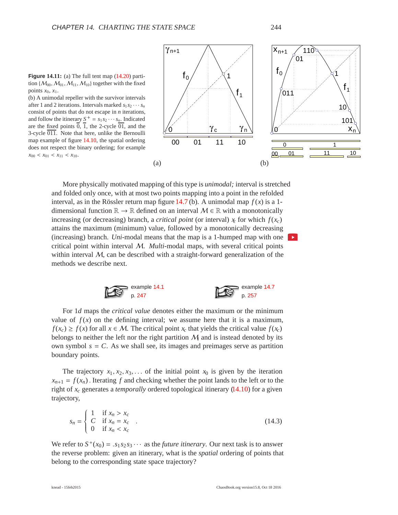

(b) A unimodal repeller with the survivor intervals after 1 and 2 iterations. Intervals marked  $s_1 s_2 \cdots s_n$ consist of points that do not escape in *n* iterations, and follow the itinerary  $S^+ = s_1 s_2 \cdots s_n$ . Indicated are the fixed points  $\overline{0}$ ,  $\overline{1}$ , the 2-cycle  $\overline{01}$ , and the 3-cycle  $\overline{011}$ . Note that here, unlike the Bernoulli map example of figure 14.10, the spatial ordering does not respect the binary ordering; for example  $x_{00} < x_{01} < x_{11} < x_{10}$ .



More physically motivated mapping of this type is *unimodal;* interval is stretched and folded only once, with at most two points mapping into a point in the refolded interval, as in the Rössler return map figure 14.7 (b). A unimodal map  $f(x)$  is a 1dimensional function  $\mathbb{R} \to \mathbb{R}$  defined on an interval  $\mathcal{M} \in \mathbb{R}$  with a monotonically increasing (or decreasing) branch, a *critical point* (or interval)  $x<sub>r</sub>$  for which  $f(x<sub>c</sub>)$ attains the maximum (minimum) value, followed by a monotonically decreasing (increasing) branch. *Uni*-modal means that the map is a 1-humped map with one critical point within interval M. *Multi*-modal maps, with several critical points within interval  $M$ , can be described with a straight-forward generalization of the methods we describe next.





For 1*d* maps the *critical value* denotes either the maximum or the minimum value of  $f(x)$  on the defining interval; we assume here that it is a maximum, *f*(*x<sub>c</sub>*) ≥ *f*(*x*) for all *x* ∈ *M*. The critical point *x<sub>c</sub>* that yields the critical value *f*(*x<sub>c</sub>*) belongs to neither the left nor the right partition M*<sup>i</sup>* and is instead denoted by its own symbol  $s = C$ . As we shall see, its images and preimages serve as partition boundary points.

The trajectory  $x_1, x_2, x_3, \ldots$  of the initial point  $x_0$  is given by the iteration  $x_{n+1} = f(x_n)$ . Iterating *f* and checking whether the point lands to the left or to the right of *xc* generates a *temporally* ordered topological itinerary (14.10) for a given trajectory,

$$
s_n = \begin{cases} 1 & \text{if } x_n > x_c \\ C & \text{if } x_n = x_c \\ 0 & \text{if } x_n < x_c \end{cases} \tag{14.3}
$$

We refer to  $S^+(x_0) = .s_1 s_2 s_3 \cdots$  as the *future itinerary*. Our next task is to answer the reverse problem: given an itinerary, what is the *spatial* ordering of points that belong to the corresponding state space trajectory?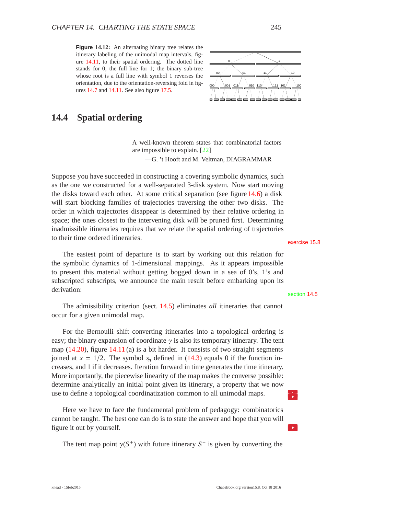**Figure 14.12:** An alternating binary tree relates the itinerary labeling of the unimodal map intervals, figure 14.11, to their spatial ordering. The dotted line stands for 0, the full line for 1; the binary sub-tree whose root is a full line with symbol 1 reverses the orientation, due to the orientation-reversing fold in figures  $14.7$  and  $14.11$ . See also figure 17.5.

## **14.4 Spatial ordering**

A well-known theorem states that combinatorial factors are impossible to explain. [22]

—G. 't Hooft and M. Veltman, DIAGRAMMAR

Suppose you have succeeded in constructing a covering symbolic dynamics, such as the one we constructed for a well-separated 3-disk system. Now start moving the disks toward each other. At some critical separation (see figure  $14.6$ ) a disk will start blocking families of trajectories traversing the other two disks. The order in which trajectories disappear is determined by their relative ordering in space; the ones closest to the intervening disk will be pruned first. Determining inadmissible itineraries requires that we relate the spatial ordering of trajectories to their time ordered itineraries. exercise 15.8

The easiest point of departure is to start by working out this relation for the symbolic dynamics of 1-dimensional mappings. As it appears impossible to present this material without getting bogged down in a sea of 0's, 1's and subscripted subscripts, we announce the main result before embarking upon its derivation: section 14.5

The admissibility criterion (sect. 14.5) eliminates *all* itineraries that cannot occur for a given unimodal map.

For the Bernoulli shift converting itineraries into a topological ordering is easy; the binary expansion of coordinate  $\gamma$  is also its temporary itinerary. The tent map  $(14.20)$ , figure 14.11 $(a)$  is a bit harder. It consists of two straight segments joined at  $x = 1/2$ . The symbol  $s_n$  defined in (14.3) equals 0 if the function increases, and 1 if it decreases. Iteration forward in time generates the time itinerary. More importantly, the piecewise linearity of the map makes the converse possible: determine analytically an initial point given its itinerary, a property that we now use to define a topological coordinatization common to all unimodal maps.

Here we have to face the fundamental problem of pedagogy: combinatorics cannot be taught. The best one can do is to state the answer and hope that you will figure it out by yourself.

The tent map point  $\gamma(S^+)$  with future itinerary  $S^+$  is given by converting the

÷

 $\blacktriangleright$ 

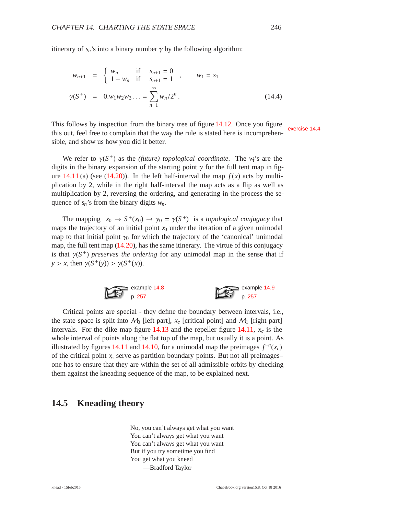itinerary of  $s_n$ 's into a binary number  $\gamma$  by the following algorithm:

$$
w_{n+1} = \begin{cases} w_n & \text{if } s_{n+1} = 0 \\ 1 - w_n & \text{if } s_{n+1} = 1 \end{cases}, \qquad w_1 = s_1
$$
  

$$
\gamma(S^+) = 0.w_1w_2w_3... = \sum_{n=1}^{\infty} w_n/2^n.
$$
 (14.4)

This follows by inspection from the binary tree of figure 14.12. Once you figure this out, feel free to complain that the way the rule is stated here is incomprehensible, and show us how you did it better.

We refer to  $\gamma(S^+)$  as the *(future) topological coordinate*. The  $w_t$ 's are the digits in the binary expansion of the starting point  $\gamma$  for the full tent map in figure 14.11 (a) (see (14.20)). In the left half-interval the map  $f(x)$  acts by multiplication by 2, while in the right half-interval the map acts as a flip as well as multiplication by 2, reversing the ordering, and generating in the process the sequence of *sn*'s from the binary digits *wn*.

The mapping  $x_0 \to S^+(x_0) \to \gamma_0 = \gamma(S^+)$  is a *topological conjugacy* that maps the trajectory of an initial point  $x<sub>0</sub>$  under the iteration of a given unimodal map to that initial point  $\gamma_0$  for which the trajectory of the 'canonical' unimodal map, the full tent map  $(14.20)$ , has the same itinerary. The virtue of this conjugacy is that  $\gamma(S^+)$  *preserves the ordering* for any unimodal map in the sense that if  $y > x$ , then  $\gamma(S^+(y)) > \gamma(S^+(x))$ .



Critical points are special - they define the boundary between intervals, i.e., the state space is split into  $\mathcal{M}_0$  [left part],  $x_c$  [critical point] and  $\mathcal{M}_1$  [right part] intervals. For the dike map figure  $14.13$  and the repeller figure  $14.11$ ,  $x_c$  is the whole interval of points along the flat top of the map, but usually it is a point. As illustrated by figures 14.11 and 14.10, for a unimodal map the preimages  $f^{-n}(x_c)$ of the critical point  $x_c$  serve as partition boundary points. But not all preimages– one has to ensure that they are within the set of all admissible orbits by checking them against the kneading sequence of the map, to be explained next.

#### **14.5 Kneading theory**

No, you can't always get what you want You can't always get what you want You can't always get what you want But if you try sometime you find You get what you kneed —Bradford Taylor

example 14.9 p. 257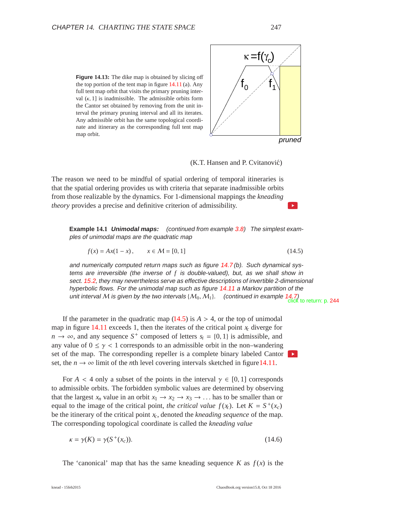



(K.T. Hansen and P. Cvitanović)

The reason we need to be mindful of spatial ordering of temporal itineraries is that the spatial ordering provides us with criteria that separate inadmissible orbits from those realizable by the dynamics. For 1-dimensional mappings the *kneading theory* provides a precise and definitive criterion of admissibility.

**Example 14.1 Unimodal maps:** (continued from example 3.8) The simplest examples of unimodal maps are the quadratic map

$$
f(x) = Ax(1 - x), \qquad x \in \mathcal{M} = [0, 1]
$$
\n(14.5)

and numerically computed return maps such as figure 14.7 (b). Such dynamical systems are irreversible (the inverse of *f* is double-valued), but, as we shall show in sect. 15.2, they may nevertheless serve as effective descriptions of invertible 2-dimensional hyperbolic flows. For the unimodal map such as figure 14.11 <sup>a</sup> Markov partition of the unit interval M is given by the two intervals  $\{M_0, M_1\}$ . (continued in example 14.7) click to return: p. 244

If the parameter in the quadratic map  $(14.5)$  is  $A > 4$ , or the top of unimodal map in figure  $14.11$  exceeds 1, then the iterates of the critical point x diverge for  $n \to \infty$ , and any sequence  $S^+$  composed of letters  $s_i = \{0, 1\}$  is admissible, and any value of  $0 \leq \gamma < 1$  corresponds to an admissible orbit in the non–wandering set of the map. The corresponding repeller is a complete binary labeled Cantor  $\blacktriangleright$ set, the  $n \to \infty$  limit of the *n*th level covering intervals sketched in figure 14.11.

For  $A < 4$  only a subset of the points in the interval  $\gamma \in [0, 1]$  corresponds to admissible orbits. The forbidden symbolic values are determined by observing that the largest  $x_n$  value in an orbit  $x_1 \rightarrow x_2 \rightarrow x_3 \rightarrow \dots$  has to be smaller than or equal to the image of the critical point, *the critical value*  $f(x)$ . Let  $K = S^+(x_c)$ be the itinerary of the critical point  $x_c$ , denoted the *kneading sequence* of the map. The corresponding topological coordinate is called the *kneading value*

$$
\kappa = \gamma(K) = \gamma(S^+(x_c)).\tag{14.6}
$$

The 'canonical' map that has the same kneading sequence *K* as  $f(x)$  is the

٠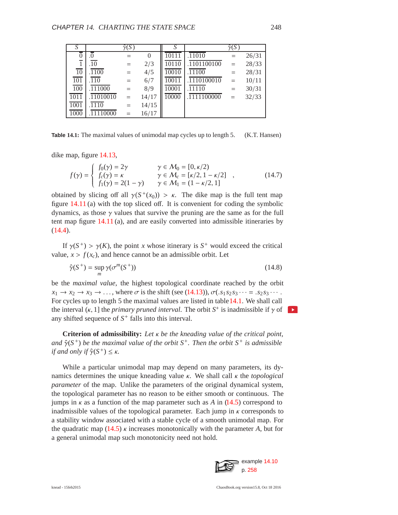|                 |            | $\hat{\gamma}(S)$ |       |       |             | $\hat{\gamma}(S)$ |       |
|-----------------|------------|-------------------|-------|-------|-------------|-------------------|-------|
| 0               | $\Omega$ . | $=$               | 0     | 10111 | .11010      | $=$               | 26/31 |
|                 | .10        | $=$               | 2/3   | 10110 | .1101100100 | $=$               | 28/33 |
| $\overline{10}$ | .1100      | $=$               | 4/5   | 10010 | .11100      | $=$               | 28/31 |
| 101             | .110       | $=$               | 6/7   | 10011 | .1110100010 | $=$               | 10/11 |
| 100             | .111000    | $=$               | 8/9   | 10001 | .11110      | $=$               | 30/31 |
| 1011            | .11010010  | $=$               | 14/17 | 10000 | .1111100000 | $=$               | 32/33 |
| 1001            | .1110      | $=$               | 14/15 |       |             |                   |       |
| 1000            | .11110000  |                   | 16/17 |       |             |                   |       |

**Table 14.1:** The maximal values of unimodal map cycles up to length 5. (K.T. Hansen)

dike map, figure 14.13,

$$
f(\gamma) = \begin{cases} f_0(\gamma) = 2\gamma & \gamma \in \mathcal{M}_0 = [0, \kappa/2) \\ f_c(\gamma) = \kappa & \gamma \in \mathcal{M}_c = [\kappa/2, 1 - \kappa/2] \\ f_1(\gamma) = 2(1 - \gamma) & \gamma \in \mathcal{M}_1 = (1 - \kappa/2, 1] \end{cases}
$$
 (14.7)

obtained by slicing off all  $\gamma(S^+(x_0)) > \kappa$ . The dike map is the full tent map figure 14.11 (a) with the top sliced off. It is convenient for coding the symbolic dynamics, as those  $\gamma$  values that survive the pruning are the same as for the full tent map figure 14.11 (a), and are easily converted into admissible itineraries by  $(14.4).$ 

If  $\gamma(S^+) > \gamma(K)$ , the point *x* whose itinerary is  $S^+$  would exceed the critical value,  $x > f(x_c)$ , and hence cannot be an admissible orbit. Let

$$
\hat{\gamma}(S^+) = \sup_m \gamma(\sigma^m(S^+))
$$
\n(14.8)

be the *maximal value*, the highest topological coordinate reached by the orbit  $x_1 \rightarrow x_2 \rightarrow x_3 \rightarrow \ldots$ , where  $\sigma$  is the shift (see (14.13)),  $\sigma(.s_1 s_2 s_3 \cdots = .s_2 s_3 \cdots$ . For cycles up to length 5 the maximal values are listed in table14.1. We shall call the interval (*κ*, 1] the *primary pruned interval*. The orbit  $S^+$  is inadmissible if  $\gamma$  of any shifted sequence of  $S<sup>+</sup>$  falls into this interval.

**Criterion of admissibility:** *Let* κ *be the kneading value of the critical point, and*  $\hat{\gamma}(S^+)$  *be the maximal value of the orbit*  $S^+$ *. Then the orbit*  $S^+$  *is admissible if and only if*  $\hat{\gamma}(S^+) \leq \kappa$ *.* 

While a particular unimodal map may depend on many parameters, its dynamics determines the unique kneading value κ. We shall call κ the *topological parameter* of the map. Unlike the parameters of the original dynamical system, the topological parameter has no reason to be either smooth or continuous. The jumps in  $\kappa$  as a function of the map parameter such as A in (14.5) correspond to inadmissible values of the topological parameter. Each jump in  $\kappa$  corresponds to a stability window associated with a stable cycle of a smooth unimodal map. For the quadratic map  $(14.5)$  *k* increases monotonically with the parameter *A*, but for a general unimodal map such monotonicity need not hold.

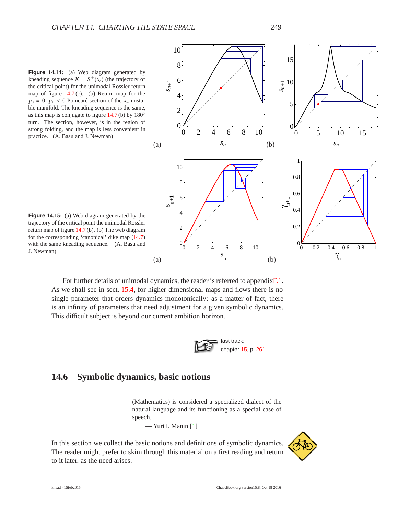**Figure 14.14:** (a) Web diagram generated by kneading sequence  $K = S^+(x_c)$  (the trajectory of the critical point) for the unimodal Rössler return map of figure 14.7 (c). (b) Return map for the  $p_0 = 0$ ,  $p_1 < 0$  Poincaré section of the *x*− unstable manifold. The kneading sequence is the same, as this map is conjugate to figure  $14.7$  (b) by  $180^0$ turn. The section, however, is in the region of strong folding, and the map is less convenient in practice. (A. Basu and J. Newman)



**Figure 14.15:** (a) Web diagram generated by the trajectory of the critical point the unimodal Rössler return map of figure 14.7 (b). (b) The web diagram for the corresponding 'canonical' dike map (14.7) with the same kneading sequence. (A. Basu and J. Newman)

For further details of unimodal dynamics, the reader is referred to appendix  $F.1$ . As we shall see in sect. 15.4, for higher dimensional maps and flows there is no single parameter that orders dynamics monotonically; as a matter of fact, there is an infinity of parameters that need adjustment for a given symbolic dynamics. This difficult subject is beyond our current ambition horizon.



## **14.6 Symbolic dynamics, basic notions**

(Mathematics) is considered a specialized dialect of the natural language and its functioning as a special case of speech.

— Yuri I. Manin [1]

In this section we collect the basic notions and definitions of symbolic dynamics. The reader might prefer to skim through this material on a first reading and return to it later, as the need arises.

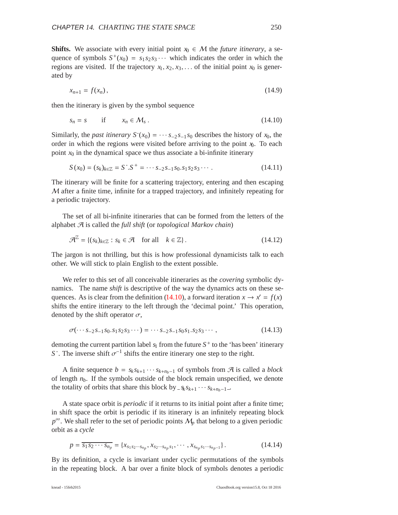**Shifts.** We associate with every initial point  $x_0 \in M$  the *future itinerary*, a sequence of symbols  $S^+(x_0) = s_1 s_2 s_3 \cdots$  which indicates the order in which the regions are visited. If the trajectory  $x_1, x_2, x_3, \ldots$  of the initial point  $x_0$  is generated by

$$
x_{n+1} = f(x_n),
$$
\n(14.9)

then the itinerary is given by the symbol sequence

$$
s_n = s \qquad \text{if} \qquad x_n \in \mathcal{M}_s \, . \tag{14.10}
$$

Similarly, the *past itinerary*  $S^-(x_0) = \cdots s_{-2} s_{-1} s_0$  describes the history of  $x_0$ , the order in which the regions were visited before arriving to the point  $x_0$ . To each point  $x_0$  in the dynamical space we thus associate a bi-infinite itinerary

$$
S(x_0) = (s_k)_{k \in \mathbb{Z}} = S^-.S^+ = \cdots s_{-2} s_{-1} s_0 s_1 s_2 s_3 \cdots
$$
 (14.11)

The itinerary will be finite for a scattering trajectory, entering and then escaping  $M$  after a finite time, infinite for a trapped trajectory, and infinitely repeating for a periodic trajectory.

The set of all bi-infinite itineraries that can be formed from the letters of the alphabet A is called the *full shift* (or *topological Markov chain*)

$$
\mathcal{A}^{\mathbb{Z}} = \{ (s_k)_{k \in \mathbb{Z}} : s_k \in \mathcal{A} \quad \text{for all} \quad k \in \mathbb{Z} \}. \tag{14.12}
$$

The jargon is not thrilling, but this is how professional dynamicists talk to each other. We will stick to plain English to the extent possible.

We refer to this set of all conceivable itineraries as the *covering* symbolic dynamics. The name *shift* is descriptive of the way the dynamics acts on these sequences. As is clear from the definition (14.10), a forward iteration  $x \to x' = f(x)$ shifts the entire itinerary to the left through the 'decimal point.' This operation, denoted by the shift operator  $\sigma$ ,

$$
\sigma(\cdots s_{-2}s_{-1}s_0.s_1s_2s_3\cdots) = \cdots s_{-2}s_{-1}s_0s_1.s_2s_3\cdots,
$$
\n(14.13)

demoting the current partition label  $s_1$  from the future  $S^+$  to the 'has been' itinerary *S*<sup>-</sup>. The inverse shift  $\sigma^{-1}$  shifts the entire itinerary one step to the right.

A finite sequence  $b = s_k s_{k+1} \cdots s_{k+n}$  of symbols from A is called a *block* of length  $n_b$ . If the symbols outside of the block remain unspecified, we denote the totality of orbits that share this block by  $\Delta g_s s_{k+1} \cdots s_{k+n_b-1}$ .

A state space orbit is *periodic* if it returns to its initial point after a finite time; in shift space the orbit is periodic if its itinerary is an infinitely repeating block  $p^{\infty}$ . We shall refer to the set of periodic points  $M_p$  that belong to a given periodic orbit as a *cycle*

$$
p = \overline{s_1 s_2 \cdots s_{n_p}} = \{x_{s_1 s_2 \cdots s_{n_p}}, x_{s_2 \cdots s_{n_p} s_1}, \cdots, x_{s_{n_p} s_1 \cdots s_{n_p-1}}\}.
$$
 (14.14)

By its definition, a cycle is invariant under cyclic permutations of the symbols in the repeating block. A bar over a finite block of symbols denotes a periodic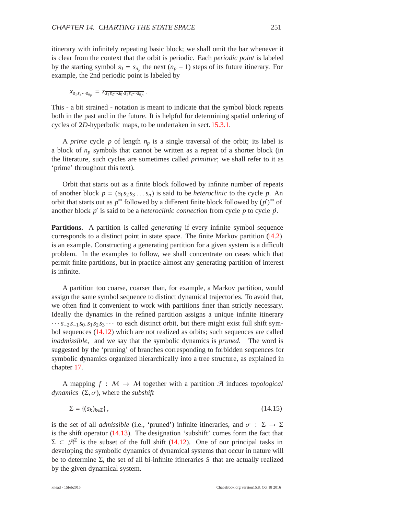itinerary with infinitely repeating basic block; we shall omit the bar whenever it is clear from the context that the orbit is periodic. Each *periodic point* is labeled by the starting symbol  $s_0 = s_{n_p}$  the next  $(n_p - 1)$  steps of its future itinerary. For example, the 2nd periodic point is labeled by

$$
x_{s_1s_2\cdots s_{n_p}}=x_{\overline{s_1s_2\cdots s_0}\cdot\overline{s_1s_2\cdots s_{n_p}}}.
$$

This - a bit strained - notation is meant to indicate that the symbol block repeats both in the past and in the future. It is helpful for determining spatial ordering of cycles of 2*D*-hyperbolic maps, to be undertaken in sect. 15.3.1.

A *prime* cycle  $p$  of length  $n_p$  is a single traversal of the orbit; its label is a block of  $n_p$  symbols that cannot be written as a repeat of a shorter block (in the literature, such cycles are sometimes called *primitive*; we shall refer to it as 'prime' throughout this text).

Orbit that starts out as a finite block followed by infinite number of repeats of another block  $p = (s_1 s_2 s_3 \dots s_n)$  is said to be *heteroclinic* to the cycle p. An orbit that starts out as  $p^{\infty}$  followed by a different finite block followed by  $(p')^{\infty}$  of another block  $p'$  is said to be a *heteroclinic connection* from cycle  $p$  to cycle  $p'$ .

**Partitions.** A partition is called *generating* if every infinite symbol sequence corresponds to a distinct point in state space. The finite Markov partition  $(14.2)$ is an example. Constructing a generating partition for a given system is a difficult problem. In the examples to follow, we shall concentrate on cases which that permit finite partitions, but in practice almost any generating partition of interest is infinite.

A partition too coarse, coarser than, for example, a Markov partition, would assign the same symbol sequence to distinct dynamical trajectories. To avoid that, we often find it convenient to work with partitions finer than strictly necessary. Ideally the dynamics in the refined partition assigns a unique infinite itinerary ··· *s*−<sup>2</sup> *s*−<sup>1</sup> *s*0.*s*<sup>1</sup> *s*<sup>2</sup> *s*<sup>3</sup> ··· to each distinct orbit, but there might exist full shift symbol sequences (14.12) which are not realized as orbits; such sequences are called *inadmissible*, and we say that the symbolic dynamics is *pruned*. The word is suggested by the 'pruning' of branches corresponding to forbidden sequences for symbolic dynamics organized hierarchically into a tree structure, as explained in chapter 17.

A mapping  $f : M \to M$  together with a partition  $\mathcal{A}$  induces *topological dynamics*  $(\Sigma, \sigma)$ , where the *subshift* 

$$
\Sigma = \{(s_k)_{k \in \mathbb{Z}}\},\tag{14.15}
$$

is the set of all *admissible* (i.e., 'pruned') infinite itineraries, and  $\sigma : \Sigma \to \Sigma$ is the shift operator (14.13). The designation 'subshift' comes form the fact that  $\Sigma \subset \mathcal{A}^{\mathbb{Z}}$  is the subset of the full shift (14.12). One of our principal tasks in developing the symbolic dynamics of dynamical systems that occur in nature will be to determine Σ, the set of all bi-infinite itineraries *S* that are actually realized by the given dynamical system.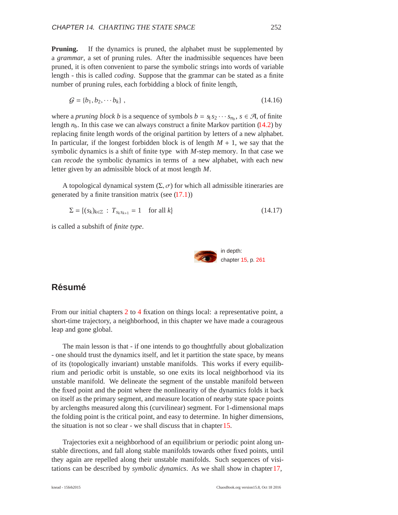**Pruning.** If the dynamics is pruned, the alphabet must be supplemented by a *grammar*, a set of pruning rules. After the inadmissible sequences have been pruned, it is often convenient to parse the symbolic strings into words of variable length - this is called *coding*. Suppose that the grammar can be stated as a finite number of pruning rules, each forbidding a block of finite length,

$$
G = \{b_1, b_2, \cdots b_k\},\tag{14.16}
$$

where a *pruning block b* is a sequence of symbols  $b = s_1 s_2 \cdots s_n$ ,  $s \in \mathcal{A}$ , of finite length  $n_b$ . In this case we can always construct a finite Markov partition  $(14.2)$  by replacing finite length words of the original partition by letters of a new alphabet. In particular, if the longest forbidden block is of length  $M + 1$ , we say that the symbolic dynamics is a shift of finite type with *M*-step memory. In that case we can *recode* the symbolic dynamics in terms of a new alphabet, with each new letter given by an admissible block of at most length *M*.

A topological dynamical system  $(\Sigma, \sigma)$  for which all admissible itineraries are generated by a finite transition matrix (see  $(17.1)$ )

$$
\Sigma = \{(s_k)_{k \in \mathbb{Z}} : T_{s_k s_{k+1}} = 1 \quad \text{for all } k\}
$$
 (14.17)

is called a subshift of *finite type*.



#### **Résumé**

From our initial chapters 2 to 4 fixation on things local: a representative point, a short-time trajectory, a neighborhood, in this chapter we have made a courageous leap and gone global.

The main lesson is that - if one intends to go thoughtfully about globalization - one should trust the dynamics itself, and let it partition the state space, by means of its (topologically invariant) unstable manifolds. This works if every equilibrium and periodic orbit is unstable, so one exits its local neighborhood via its unstable manifold. We delineate the segment of the unstable manifold between the fixed point and the point where the nonlinearity of the dynamics folds it back on itself as the primary segment, and measure location of nearby state space points by arclengths measured along this (curvilinear) segment. For 1-dimensional maps the folding point is the critical point, and easy to determine. In higher dimensions, the situation is not so clear - we shall discuss that in chapter 15.

Trajectories exit a neighborhood of an equilibrium or periodic point along unstable directions, and fall along stable manifolds towards other fixed points, until they again are repelled along their unstable manifolds. Such sequences of visitations can be described by *symbolic dynamics*. As we shall show in chapter17,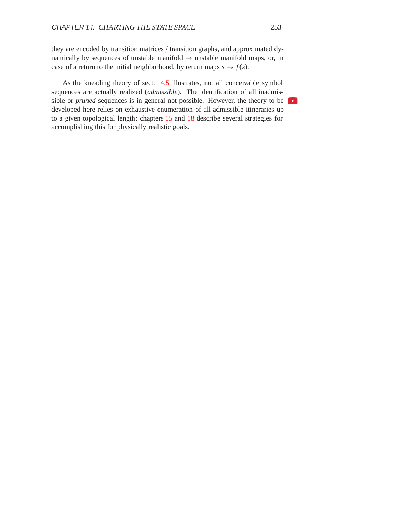they are encoded by transition matrices / transition graphs, and approximated dynamically by sequences of unstable manifold  $\rightarrow$  unstable manifold maps, or, in case of a return to the initial neighborhood, by return maps  $s \rightarrow f(s)$ .

As the kneading theory of sect. 14.5 illustrates, not all conceivable symbol sequences are actually realized (*admissible*). The identification of all inadmissible or *pruned* sequences is in general not possible. However, the theory to be developed here relies on exhaustive enumeration of all admissible itineraries up to a given topological length; chapters 15 and 18 describe several strategies for accomplishing this for physically realistic goals.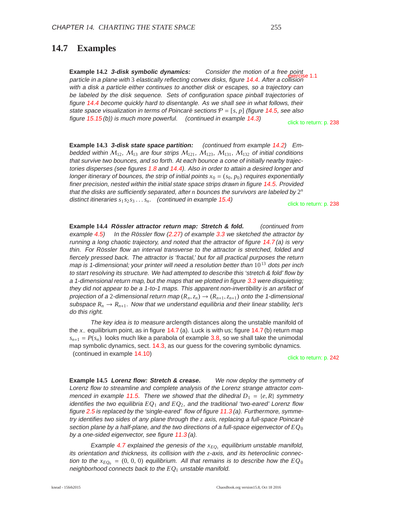#### **14.7 Examples**

**Example 14.2 3-disk symbolic dynamics:** Consider the motion of a free point particle in a plane with 3 elastically reflecting convex disks, figure 14.4. After a collision 1.1 with <sup>a</sup> disk <sup>a</sup> particle either continues to another disk or escapes, so <sup>a</sup> trajectory can be labeled by the disk sequence. Sets of configuration space pinball trajectories of figure 14.4 become quickly hard to disentangle. As we shall see in what follows, their state space visualization in terms of Poincaré sections  $P = [s, p]$  (figure 14.5, see also figure  $15.15$  (b)) is much more powerful. (continued in example  $14.3$ ) click to return: p. 238

**Example 14.3 3-disk state space partition:** (continued from example 14.2) Embedded within  $M_{12}$ ,  $M_{13}$  are four strips  $M_{121}$ ,  $M_{123}$ ,  $M_{131}$ ,  $M_{132}$  of initial conditions that survive two bounces, and so forth. At each bounce <sup>a</sup> cone of initially nearby trajectories disperses (see figures 1.8 and 14.4). Also in order to attain <sup>a</sup> desired longer and longer itinerary of bounces, the strip of initial points  $x_0 = (s_0, p_0)$  requires exponentially finer precision, nested within the initial state space strips drawn in figure 14.5. Provided that the disks are sufficiently separated, after *n* bounces the survivors are labeled by 2*<sup>n</sup>* distinct itineraries  $s_1 s_2 s_3 \ldots s_n$ . (continued in example 15.4) click to return: p. 238

**Example 14.4 Rossler attractor return map: Stretch & fold. ¨** (continued from example 4.5) In the Rössler flow  $(2.27)$  of example 3.3 we sketched the attractor by running a long chaotic trajectory, and noted that the attractor of figure  $14.7$  (a) is very thin. For Rössler flow an interval transverse to the attractor is stretched, folded and fiercely pressed back. The attractor is 'fractal,' but for all practical purposes the return map is 1-dimensional; your printer will need a resolution better than  $10^{13}$  dots per inch to start resolving its structure. We had attempted to describe this 'stretch & fold' flow by <sup>a</sup> 1-dimensional return map, but the maps that we plotted in figure 3.3 were disquieting; they did not appear to be <sup>a</sup> 1-to-1 maps. This apparent non-invertibility is an artifact of projection of a 2-dimensional return map  $(R_n, z_n) \rightarrow (R_{n+1}, z_{n+1})$  onto the 1-dimensional subspace  $R_n \to R_{n+1}$ . Now that we understand equilibria and their linear stability, let's do this right.

The key idea is to measure arclength distances along the unstable manifold of the *x*<sup>−</sup> equilibrium point, as in figure 14.7 (a). Luck is with us; figure 14.7 (b) return map  $s_{n+1} = P(s_n)$  looks much like a parabola of example 3.8, so we shall take the unimodal map symbolic dynamics, sect. 14.3, as our guess for the covering symbolic dynamics. (continued in example 14.10) (continued in example 14.10)

**Example 14.5 Lorenz flow: Stretch & crease.** We now deploy the symmetry of Lorenz flow to streamline and complete analysis of the Lorenz strange attractor commenced in example 11.5. There we showed that the dihedral  $D_1 = \{e, R\}$  symmetry identifies the two equilibria  $EQ_1$  and  $EQ_2$ , and the traditional 'two-eared' Lorenz flow figure 2.5 is replaced by the 'single-eared' flow of figure 11.3 (a). Furthermore, symmetry identifies two sides of any plane through the *z* axis, replacing <sup>a</sup> full-space Poincare´ section plane by <sup>a</sup> half-plane, and the two directions of <sup>a</sup> full-space eigenvector of *EQ*<sup>0</sup> by a one-sided eigenvector, see figure 11.3(a).

Example 4.7 explained the genesis of the  $x_{EQ_1}$  equilibrium unstable manifold, its orientation and thickness, its collision with the *z*-axis, and its heteroclinic connection to the  $x_{EQ_0} = (0, 0, 0)$  equilibrium. All that remains is to describe how the  $EQ_0$ neighborhood connects back to the *EQ*<sup>1</sup> unstable manifold.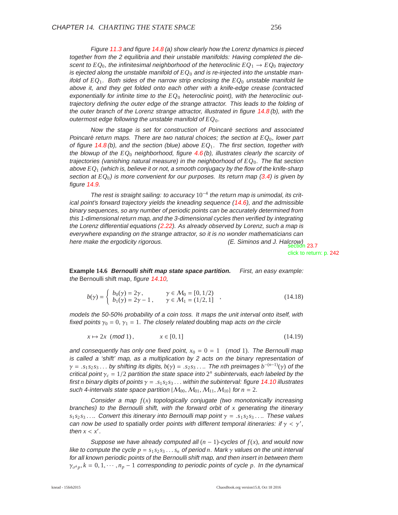Figure 11.3 and figure 14.8 (a) show clearly how the Lorenz dynamics is pieced together from the 2 equilibria and their unstable manifolds: Having completed the descent to  $EQ_0$ , the infinitesimal neighborhood of the heteroclinic  $EQ_1 \rightarrow EQ_0$  trajectory is ejected along the unstable manifold of  $EQ<sub>0</sub>$  and is re-injected into the unstable manifold of  $EO<sub>1</sub>$ . Both sides of the narrow strip enclosing the  $EO<sub>0</sub>$  unstable manifold lie above it, and they get folded onto each other with <sup>a</sup> knife-edge crease (contracted exponentially for infinite time to the *EQ*<sup>0</sup> heteroclinic point), with the heteroclinic outtrajectory defining the outer edge of the strange attractor. This leads to the folding of the outer branch of the Lorenz strange attractor, illustrated in figure  $14.8$  (b), with the outermost edge following the unstable manifold of *EQ*0.

Now the stage is set for construction of Poincaré sections and associated Poincaré return maps. There are two natural choices; the section at  $EQ<sub>0</sub>$ , lower part of figure 14.8 (b), and the section (blue) above  $EQ_1$ . The first section, together with the blowup of the  $EQ_0$  neighborhood, figure  $4.6$  (b), illustrates clearly the scarcity of trajectories (vanishing natural measure) in the neighborhood of *EQ*0. The flat section above *EQ*<sup>1</sup> (which is, believe it or not, <sup>a</sup> smooth conjugacy by the flow of the knife-sharp section at *EQ*0) is more convenient for our purposes. Its return map (3.4) is given by figure 14.9.

The rest is straight sailing: to accuracy  $10^{-4}$  the return map is unimodal, its critical point's forward trajectory yields the kneading sequence (14.6), and the admissible binary sequences, so any number of periodic points can be accurately determined from this 1-dimensional return map, and the 3-dimensional cycles then verified by integrating the Lorenz differential equations (2.22). As already observed by Lorenz, such <sup>a</sup> map is everywhere expanding on the strange attractor, so it is no wonder mathematicians can here make the ergodicity rigorous.<br>
Here make the ergodicity rigorous. 
(E. Siminos and J. Halcrow) section 23.7

click to return: p. 242

**Example 14.6 Bernoulli shift map state space partition.** First, an easy example: the Bernoulli shift map, figure 14.10,

$$
b(\gamma) = \begin{cases} b_0(\gamma) = 2\gamma, & \gamma \in \mathcal{M}_0 = [0, 1/2) \\ b_1(\gamma) = 2\gamma - 1, & \gamma \in \mathcal{M}_1 = (1/2, 1] \end{cases}
$$
 (14.18)

models the 50-50% probability of <sup>a</sup> coin toss. It maps the unit interval onto itself, with fixed points  $\gamma_0 = 0$ ,  $\gamma_1 = 1$ . The closely related doubling map acts on the circle

$$
x \mapsto 2x \pmod{1}, \qquad x \in [0, 1] \tag{14.19}
$$

and consequently has only one fixed point,  $x_0 = 0 = 1 \pmod{1}$ . The Bernoulli map is called <sup>a</sup> 'shift' map, as <sup>a</sup> multiplication by 2 acts on the binary representation of  $\gamma = .s_1 s_2 s_3 \dots$  by shifting its digits,  $b(\gamma) = .s_2 s_3 \dots$  The *n*th preimages  $b^{-(n-1)}(\gamma)$  of the critical point  $\gamma_c = 1/2$  partition the state space into  $2^n$  subintervals, each labeled by the first *n* binary digits of points  $\gamma = .s_1 s_2 s_3 \dots$  within the subinterval: figure 14.10 illustrates such 4-intervals state space partition  ${M_{00}, M_{01}, M_{11}, M_{10}}$  for  $n = 2$ .

Consider <sup>a</sup> map *f*(*x*) topologically conjugate (two monotonically increasing branches) to the Bernoulli shift, with the forward orbit of *x* generating the itinerary  $s_1 s_2 s_3 \ldots$  Convert this itinerary into Bernoulli map point  $\gamma = .s_1 s_2 s_3 \ldots$  These values can now be used to spatially order points with different temporal itineraries: if  $\gamma < \gamma'$ , then  $x < x'$ .

Suppose we have already computed all  $(n - 1)$ -cycles of  $f(x)$ , and would now like to compute the cycle  $p = s_1 s_2 s_3 \ldots s_n$  of period *n*. Mark  $\gamma$  values on the unit interval for all known periodic points of the Bernoulli shift map, and then insert in between them  $\gamma_{\sigma^k p}$ ,  $k = 0, 1, \cdots, n_p - 1$  corresponding to periodic points of cycle p. In the dynamical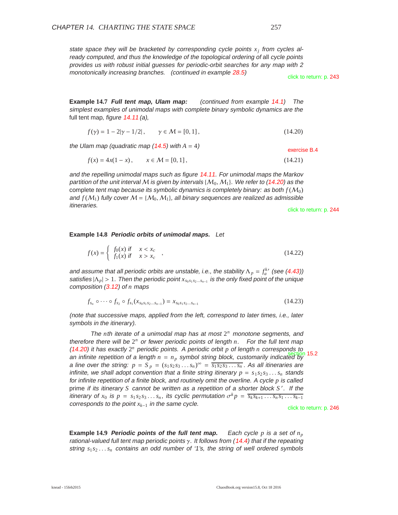state space they will be bracketed by corresponding cycle points  $x_i$  from cycles already computed, and thus the knowledge of the topological ordering of all cycle points provides us with robust initial guesses for periodic-orbit searches for any map with 2 monotonically increasing branches. (continued in example 28.5) click to return: p. 243

**Example 14.7 Full tent map, Ulam map:** (continued from example 14.1) The simplest examples of unimodal maps with complete binary symbolic dynamics are the full tent map, *figure* 14.11 (a),

$$
f(\gamma) = 1 - 2|\gamma - 1/2|, \qquad \gamma \in \mathcal{M} = [0, 1], \tag{14.20}
$$

the Ulam map (quadratic map  $(14.5)$  with  $A = 4$ ) exercise B.4

$$
f(x) = 4x(1 - x), \qquad x \in \mathcal{M} = [0, 1], \tag{14.21}
$$

and the repelling unimodal maps such as figure 14.11. For unimodal maps the Markov partition of the unit interval M is given by intervals { $M_0, M_1$ }. We refer to (14.20) as the complete tent map because its symbolic dynamics is completely binary: as both  $f(M_0)$ and  $f(M_1)$  fully cover  $M = \{M_0, M_1\}$ , all binary sequences are realized as admissible itineraries. Click to return: p. 244

**Example 14.8 Periodic orbits of unimodal maps.** Let

$$
f(x) = \begin{cases} f_0(x) & \text{if } x < x_c \\ f_1(x) & \text{if } x > x_c \end{cases} \tag{14.22}
$$

and assume that all periodic orbits are unstable, i.e., the stability  $\Lambda_p$  =  $f_a^{k\prime}$  (see (4.43)) satisfies  $|\Lambda_p| > 1$ . Then the periodic point  $x_{s_0 s_1 s_2 \ldots s_{n-1}}$  is the only fixed point of the unique composition (3.12) of *n* maps

$$
f_{s_n} \circ \cdots \circ f_{s_2} \circ f_{s_1}(x_{s_0s_1s_2\ldots s_{n-1}}) = x_{s_0s_1s_2\ldots s_{n-1}}
$$
\n(14.23)

(note that successive maps, applied from the left, correspond to later times, i.e., later symbols in the itinerary).

The *n*th iterate of <sup>a</sup> unimodal map has at most 2*<sup>n</sup>* monotone segments, and therefore there will be 2*<sup>n</sup>* or fewer periodic points of length *n*. For the full tent map (14.20) it has exactly  $2^n$  periodic points. A periodic orbit *p* of length *n* corresponds to an infinite repetition of a length  $n = n_p$  symbol string block, customarily indicated by a line over the string:  $p = S_p = (s_1 s_2 s_3 \dots s_n)^{\infty} = \overline{s_1 s_2 s_3 \dots s_n}$ . As all itineraries are infinite, we shall adopt convention that a finite string itinerary  $p = s_1 s_2 s_3 \dots s_n$  stands for infinite repetition of <sup>a</sup> finite block, and routinely omit the overline. <sup>A</sup> cycle *p* is called prime if its itinerary *S* cannot be written as <sup>a</sup> repetition of <sup>a</sup> shorter block *S* . If the itinerary of  $x_0$  is  $p = s_1 s_2 s_3 \dots s_n$ , its cyclic permutation  $\sigma^k p = \frac{s_k s_{k+1} \dots s_n s_1 \dots s_{k-1}}{s_k s_k s_{k+1} \dots s_n s_1 \dots s_{k-1}}$  $corresponds$  to the point  $x_{k-1}$  in the same cycle. corresponds to the point  $x_{k-1}$  in the same cycle.

**Example** 14.9 **Periodic points of the full tent map.** Each cycle p is a set of  $n_p$ rational-valued full tent map periodic points  $\gamma$ . It follows from (14.4) that if the repeating string *s*<sup>1</sup> *s*<sup>2</sup> ... *sn* contains an odd number of '1's, the string of well ordered symbols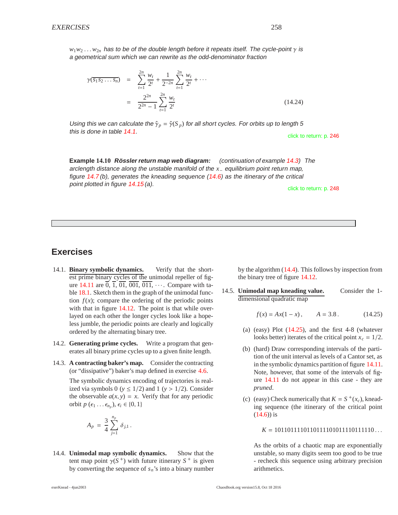$w_1w_2 \ldots w_{2n}$  has to be of the double length before it repeats itself. The cycle-point  $\gamma$  is <sup>a</sup> geometrical sum which we can rewrite as the odd-denominator fraction

$$
\gamma(\overline{s_1 s_2 \dots s_n}) = \sum_{t=1}^{2n} \frac{w_t}{2^t} + \frac{1}{2^{-2n}} \sum_{t=1}^{2n} \frac{w_t}{2^t} + \dots
$$

$$
= \frac{2^{2n}}{2^{2n} - 1} \sum_{t=1}^{2n} \frac{w_t}{2^t}
$$
(14.24)

Using this we can calculate the  $\hat{\gamma}_p = \hat{\gamma}(S_p)$  for all short cycles. For orbits up to length 5 this is done in table 14.1.

**Example 14.10 Rossler return map web diagram: ¨** (continuation of example 14.3) The arclength distance along the unstable manifold of the *x*<sup>−</sup> equilibrium point return map, figure  $14.7$  (b), generates the kneading sequence  $(14.6)$  as the itinerary of the critical point plotted in figure 14.15 (a). The same point plotted in figure 14.15 (a).

#### **Exercises**

- 14.1. **Binary symbolic dynamics.** Verify that the shortest prime binary cycles of the unimodal repeller of figure  $14.11$  are 0, 1, 01, 001, 011,  $\cdots$ . Compare with table 18.1. Sketch them in the graph of the unimodal function  $f(x)$ ; compare the ordering of the periodic points with that in figure 14.12. The point is that while overlayed on each other the longer cycles look like a hopeless jumble, the periodic points are clearly and logically ordered by the alternating binary tree.
- 14.2. **Generating prime cycles.** Write a program that generates all binary prime cycles up to a given finite length.
- 14.3. **A contracting baker's map.** Consider the contracting (or "dissipative") baker's map defined in exercise 4.6.

The symbolic dynamics encoding of trajectories is realized via symbols 0 ( $y \le 1/2$ ) and 1 ( $y > 1/2$ ). Consider the observable  $a(x, y) = x$ . Verify that for any periodic orbit  $p$  ( $\epsilon_1 \ldots \epsilon_{n_p}$ ),  $\epsilon_i \in \{0, 1\}$ 

$$
A_p = \frac{3}{4} \sum_{j=1}^{n_p} \delta_{j,1}.
$$

14.4. **Unimodal map symbolic dynamics.** Show that the tent map point  $\gamma(S^+)$  with future itinerary  $S^+$  is given by converting the sequence of  $s_n$ 's into a binary number by the algorithm (14.4). This follows by inspection from the binary tree of figure 14.12.

14.5. **Unimodal map kneading value.** Consider the 1 dimensional quadratic map

$$
f(x) = Ax(1 - x), \qquad A = 3.8. \tag{14.25}
$$

- (a) (easy) Plot  $(14.25)$ , and the first 4-8 (whatever looks better) iterates of the critical point  $x_c = 1/2$ .
- (b) (hard) Draw corresponding intervals of the partition of the unit interval as levels of a Cantor set, as in the symbolic dynamics partition of figure 14.11. Note, however, that some of the intervals of figure 14.11 do not appear in this case - they are *pruned*.
- (c) (easy) Check numerically that  $K = S^+(x_c)$ , kneading sequence (the itinerary of the critical point  $(14.6)$ ) is

 $K = 1011011110110111101011110111110...$ 

As the orbits of a chaotic map are exponentially unstable, so many digits seem too good to be true - recheck this sequence using arbitrary precision arithmetics.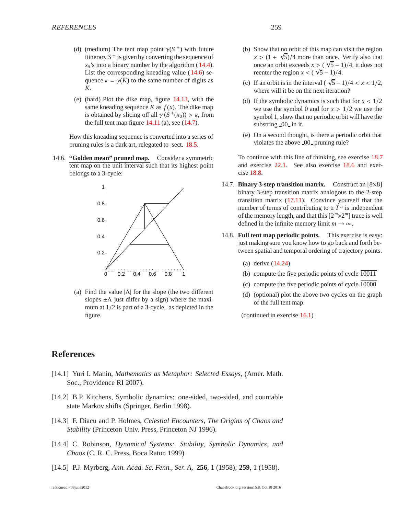- (d) (medium) The tent map point  $\gamma(S^+)$  with future itinerary  $S^+$  is given by converting the sequence of  $s_n$ 's into a binary number by the algorithm  $(14.4)$ . List the corresponding kneading value (14.6) sequence  $\kappa = \gamma(K)$  to the same number of digits as *K*.
- (e) (hard) Plot the dike map, figure 14.13, with the same kneading sequence *K* as  $f(x)$ . The dike map is obtained by slicing off all  $\gamma(S^+(x_0)) > \kappa$ , from the full tent map figure  $14.11$  (a), see  $(14.7)$ .

How this kneading sequence is converted into a series of pruning rules is a dark art, relegated to sect. 18.5.

14.6. **"Golden mean" pruned map.** Consider a symmetric tent map on the unit interval such that its highest point belongs to a 3-cycle:



(a) Find the value |Λ| for the slope (the two different slopes  $\pm \Lambda$  just differ by a sign) where the maximum at 1/2 is part of a 3-cycle, as depicted in the figure.

- (c) If an orbit is in the interval ( $\sqrt{5} 1$ )/4 < *x* < 1/2, where will it be on the next iteration?
- (d) If the symbolic dynamics is such that for  $x < 1/2$ we use the symbol 0 and for  $x > 1/2$  we use the symbol 1, show that no periodic orbit will have the substring  $00$  in it.
- (e) On a second thought, is there a periodic orbit that violates the above 00 pruning rule?

To continue with this line of thinking, see exercise 18.7 and exercise 22.1. See also exercise 18.6 and exercise 18.8.

- 14.7. **Binary 3-step transition matrix.** Construct an [8×8] binary 3-step transition matrix analogous to the 2-step transition matrix (17.11). Convince yourself that the number of terms of contributing to  $\text{tr } T^n$  is independent of the memory length, and that this [2*<sup>m</sup>*×2*<sup>m</sup>*] trace is well defined in the infinite memory limit  $m \to \infty$ .
- 14.8. **Full tent map periodic points.** This exercise is easy: just making sure you know how to go back and forth between spatial and temporal ordering of trajectory points.
	- (a) derive (14.24)
	- (b) compute the five periodic points of cycle  $\overline{10011}$
	- (c) compute the five periodic points of cycle  $\overline{10000}$
	- (d) (optional) plot the above two cycles on the graph of the full tent map.

(continued in exercise 16.1)

#### **References**

- [14.1] Yuri I. Manin, *Mathematics as Metaphor: Selected Essays,* (Amer. Math. Soc., Providence RI 2007).
- [14.2] B.P. Kitchens, Symbolic dynamics: one-sided, two-sided, and countable state Markov shifts (Springer, Berlin 1998).
- [14.3] F. Diacu and P. Holmes, *Celestial Encounters, The Origins of Chaos and Stability* (Princeton Univ. Press, Princeton NJ 1996).
- [14.4] C. Robinson, *Dynamical Systems: Stability, Symbolic Dynamics, and Chaos* (C. R. C. Press, Boca Raton 1999)
- [14.5] P.J. Myrberg, *Ann. Acad. Sc. Fenn., Ser. A,* **256**, 1 (1958); **259**, 1 (1958).